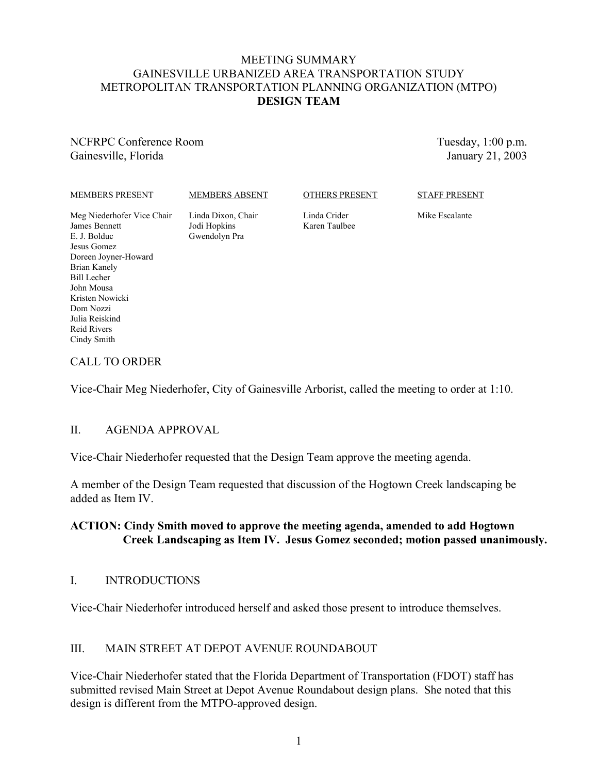#### MEETING SUMMARY GAINESVILLE URBANIZED AREA TRANSPORTATION STUDY METROPOLITAN TRANSPORTATION PLANNING ORGANIZATION (MTPO) **DESIGN TEAM**

NCFRPC Conference Room Gainesville, Florida

Tuesday, 1:00 p.m. January 21, 2003

MEMBERS PRESENT

MEMBERS ABSENT

#### OTHERS PRESENT

STAFF PRESENT

Meg Niederhofer Vice Chair James Bennett E. J. Bolduc Jesus Gomez Doreen Joyner-Howard Brian Kanely Bill Lecher John Mousa Kristen Nowicki Dom Nozzi Julia Reiskind Reid Rivers Cindy Smith

Linda Dixon, Chair Jodi Hopkins Gwendolyn Pra

Linda Crider Karen Taulbee Mike Escalante

### CALL TO ORDER

Vice-Chair Meg Niederhofer, City of Gainesville Arborist, called the meeting to order at 1:10.

### II. AGENDA APPROVAL

Vice-Chair Niederhofer requested that the Design Team approve the meeting agenda.

A member of the Design Team requested that discussion of the Hogtown Creek landscaping be added as Item IV.

### **ACTION: Cindy Smith moved to approve the meeting agenda, amended to add Hogtown Creek Landscaping as Item IV. Jesus Gomez seconded; motion passed unanimously.**

### I. INTRODUCTIONS

Vice-Chair Niederhofer introduced herself and asked those present to introduce themselves.

### III. MAIN STREET AT DEPOT AVENUE ROUNDABOUT

Vice-Chair Niederhofer stated that the Florida Department of Transportation (FDOT) staff has submitted revised Main Street at Depot Avenue Roundabout design plans. She noted that this design is different from the MTPO-approved design.